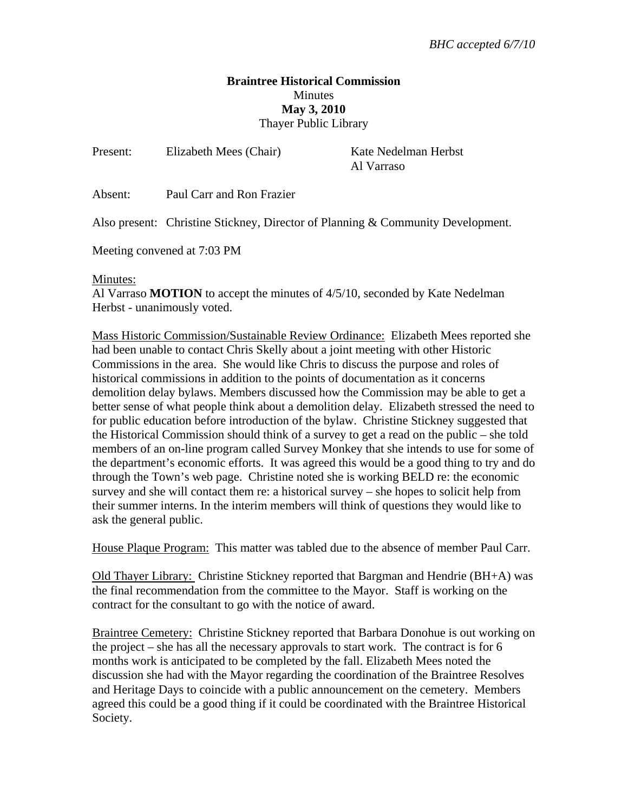## **Braintree Historical Commission Minutes May 3, 2010**  Thayer Public Library

| Present:                    | Elizabeth Mees (Chair)                                                          | Kate Nedelman Herbst<br>Al Varraso |
|-----------------------------|---------------------------------------------------------------------------------|------------------------------------|
| Absent:                     | Paul Carr and Ron Frazier                                                       |                                    |
|                             | Also present: Christine Stickney, Director of Planning & Community Development. |                                    |
| Meeting convened at 7:03 PM |                                                                                 |                                    |
|                             |                                                                                 |                                    |

## Minutes:

Al Varraso **MOTION** to accept the minutes of 4/5/10, seconded by Kate Nedelman Herbst - unanimously voted.

Mass Historic Commission/Sustainable Review Ordinance: Elizabeth Mees reported she had been unable to contact Chris Skelly about a joint meeting with other Historic Commissions in the area. She would like Chris to discuss the purpose and roles of historical commissions in addition to the points of documentation as it concerns demolition delay bylaws. Members discussed how the Commission may be able to get a better sense of what people think about a demolition delay. Elizabeth stressed the need to for public education before introduction of the bylaw. Christine Stickney suggested that the Historical Commission should think of a survey to get a read on the public – she told members of an on-line program called Survey Monkey that she intends to use for some of the department's economic efforts. It was agreed this would be a good thing to try and do through the Town's web page. Christine noted she is working BELD re: the economic survey and she will contact them re: a historical survey – she hopes to solicit help from their summer interns. In the interim members will think of questions they would like to ask the general public.

House Plaque Program: This matter was tabled due to the absence of member Paul Carr.

Old Thayer Library: Christine Stickney reported that Bargman and Hendrie (BH+A) was the final recommendation from the committee to the Mayor. Staff is working on the contract for the consultant to go with the notice of award.

Braintree Cemetery: Christine Stickney reported that Barbara Donohue is out working on the project – she has all the necessary approvals to start work. The contract is for 6 months work is anticipated to be completed by the fall. Elizabeth Mees noted the discussion she had with the Mayor regarding the coordination of the Braintree Resolves and Heritage Days to coincide with a public announcement on the cemetery. Members agreed this could be a good thing if it could be coordinated with the Braintree Historical Society.